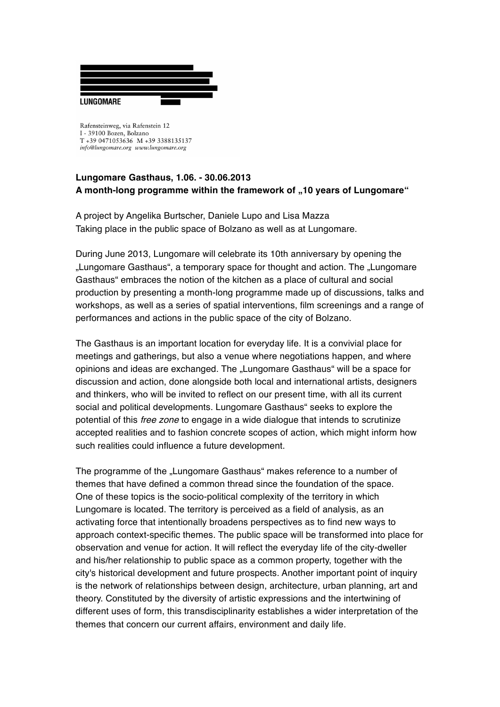

Rafensteinweg, via Rafenstein 12 I - 39100 Bozen, Bolzano T +39 0471053636 M +39 3388135137 info@lungomare.org www.lungomare.org

## **Lungomare Gasthaus, 1.06. - 30.06.2013 A month-long programme within the framework of "10 years of Lungomare"**

A project by Angelika Burtscher, Daniele Lupo and Lisa Mazza Taking place in the public space of Bolzano as well as at Lungomare.

During June 2013, Lungomare will celebrate its 10th anniversary by opening the "Lungomare Gasthaus", a temporary space for thought and action. The "Lungomare Gasthaus" embraces the notion of the kitchen as a place of cultural and social production by presenting a month-long programme made up of discussions, talks and workshops, as well as a series of spatial interventions, film screenings and a range of performances and actions in the public space of the city of Bolzano.

The Gasthaus is an important location for everyday life. It is a convivial place for meetings and gatherings, but also a venue where negotiations happen, and where opinions and ideas are exchanged. The "Lungomare Gasthaus" will be a space for discussion and action, done alongside both local and international artists, designers and thinkers, who will be invited to reflect on our present time, with all its current social and political developments. Lungomare Gasthaus" seeks to explore the potential of this *free zone* to engage in a wide dialogue that intends to scrutinize accepted realities and to fashion concrete scopes of action, which might inform how such realities could influence a future development.

The programme of the "Lungomare Gasthaus" makes reference to a number of themes that have defined a common thread since the foundation of the space. One of these topics is the socio-political complexity of the territory in which Lungomare is located. The territory is perceived as a field of analysis, as an activating force that intentionally broadens perspectives as to find new ways to approach context-specific themes. The public space will be transformed into place for observation and venue for action. It will reflect the everyday life of the city-dweller and his/her relationship to public space as a common property, together with the city's historical development and future prospects. Another important point of inquiry is the network of relationships between design, architecture, urban planning, art and theory. Constituted by the diversity of artistic expressions and the intertwining of different uses of form, this transdisciplinarity establishes a wider interpretation of the themes that concern our current affairs, environment and daily life.